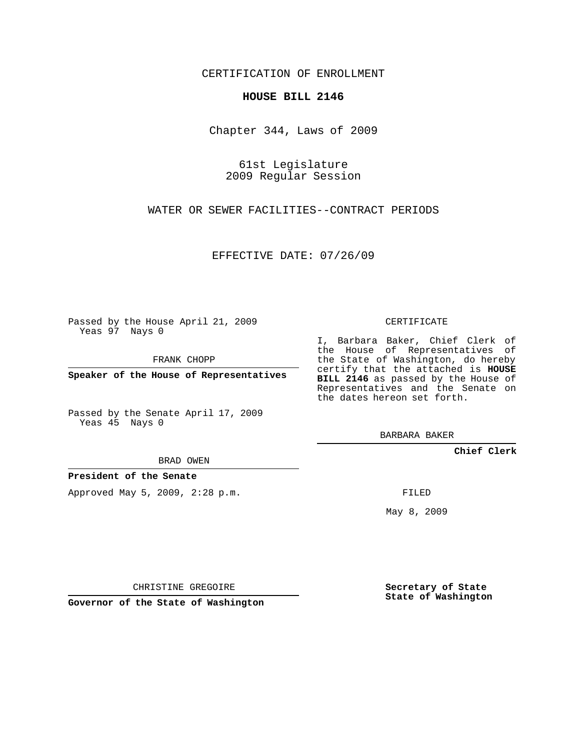CERTIFICATION OF ENROLLMENT

## **HOUSE BILL 2146**

Chapter 344, Laws of 2009

61st Legislature 2009 Regular Session

WATER OR SEWER FACILITIES--CONTRACT PERIODS

EFFECTIVE DATE: 07/26/09

Passed by the House April 21, 2009 Yeas 97 Nays 0

FRANK CHOPP

**Speaker of the House of Representatives**

Passed by the Senate April 17, 2009 Yeas 45 Nays 0

BRAD OWEN

**President of the Senate**

Approved May 5, 2009, 2:28 p.m.

CERTIFICATE

I, Barbara Baker, Chief Clerk of the House of Representatives of the State of Washington, do hereby certify that the attached is **HOUSE BILL 2146** as passed by the House of Representatives and the Senate on the dates hereon set forth.

BARBARA BAKER

**Chief Clerk**

FILED

May 8, 2009

**Secretary of State State of Washington**

CHRISTINE GREGOIRE

**Governor of the State of Washington**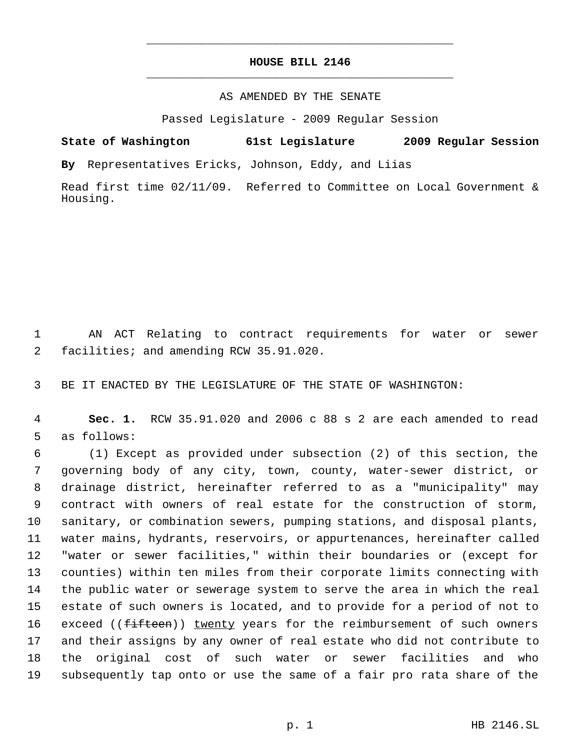## **HOUSE BILL 2146** \_\_\_\_\_\_\_\_\_\_\_\_\_\_\_\_\_\_\_\_\_\_\_\_\_\_\_\_\_\_\_\_\_\_\_\_\_\_\_\_\_\_\_\_\_

\_\_\_\_\_\_\_\_\_\_\_\_\_\_\_\_\_\_\_\_\_\_\_\_\_\_\_\_\_\_\_\_\_\_\_\_\_\_\_\_\_\_\_\_\_

## AS AMENDED BY THE SENATE

Passed Legislature - 2009 Regular Session

**State of Washington 61st Legislature 2009 Regular Session By** Representatives Ericks, Johnson, Eddy, and Liias

Read first time 02/11/09. Referred to Committee on Local Government & Housing.

 AN ACT Relating to contract requirements for water or sewer facilities; and amending RCW 35.91.020.

BE IT ENACTED BY THE LEGISLATURE OF THE STATE OF WASHINGTON:

 **Sec. 1.** RCW 35.91.020 and 2006 c 88 s 2 are each amended to read as follows:

 (1) Except as provided under subsection (2) of this section, the governing body of any city, town, county, water-sewer district, or drainage district, hereinafter referred to as a "municipality" may contract with owners of real estate for the construction of storm, sanitary, or combination sewers, pumping stations, and disposal plants, water mains, hydrants, reservoirs, or appurtenances, hereinafter called "water or sewer facilities," within their boundaries or (except for counties) within ten miles from their corporate limits connecting with the public water or sewerage system to serve the area in which the real estate of such owners is located, and to provide for a period of not to 16 exceed ((fifteen)) twenty years for the reimbursement of such owners and their assigns by any owner of real estate who did not contribute to the original cost of such water or sewer facilities and who subsequently tap onto or use the same of a fair pro rata share of the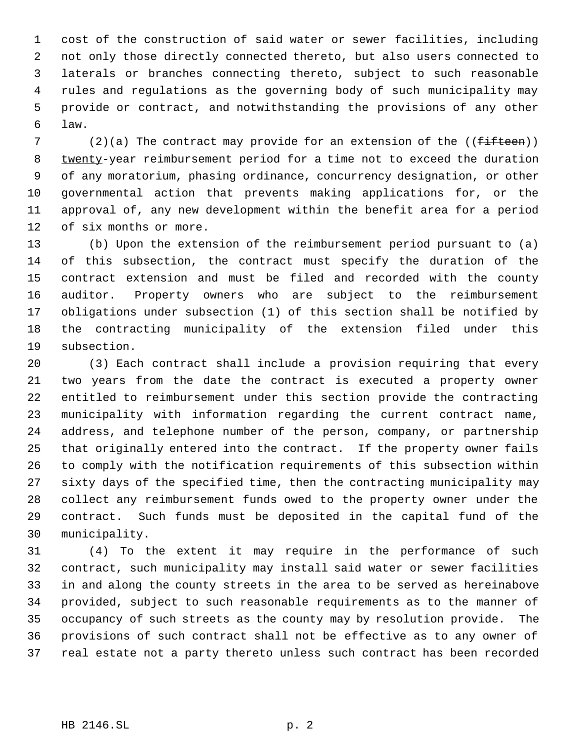cost of the construction of said water or sewer facilities, including not only those directly connected thereto, but also users connected to laterals or branches connecting thereto, subject to such reasonable rules and regulations as the governing body of such municipality may provide or contract, and notwithstanding the provisions of any other law.

7 (2)(a) The contract may provide for an extension of the  $(f<sup>2</sup> + f<sup>2</sup> + f<sup>2</sup>)$ 8 twenty-year reimbursement period for a time not to exceed the duration of any moratorium, phasing ordinance, concurrency designation, or other governmental action that prevents making applications for, or the approval of, any new development within the benefit area for a period of six months or more.

 (b) Upon the extension of the reimbursement period pursuant to (a) of this subsection, the contract must specify the duration of the contract extension and must be filed and recorded with the county auditor. Property owners who are subject to the reimbursement obligations under subsection (1) of this section shall be notified by the contracting municipality of the extension filed under this subsection.

 (3) Each contract shall include a provision requiring that every two years from the date the contract is executed a property owner entitled to reimbursement under this section provide the contracting municipality with information regarding the current contract name, address, and telephone number of the person, company, or partnership that originally entered into the contract. If the property owner fails to comply with the notification requirements of this subsection within sixty days of the specified time, then the contracting municipality may collect any reimbursement funds owed to the property owner under the contract. Such funds must be deposited in the capital fund of the municipality.

 (4) To the extent it may require in the performance of such contract, such municipality may install said water or sewer facilities in and along the county streets in the area to be served as hereinabove provided, subject to such reasonable requirements as to the manner of occupancy of such streets as the county may by resolution provide. The provisions of such contract shall not be effective as to any owner of real estate not a party thereto unless such contract has been recorded